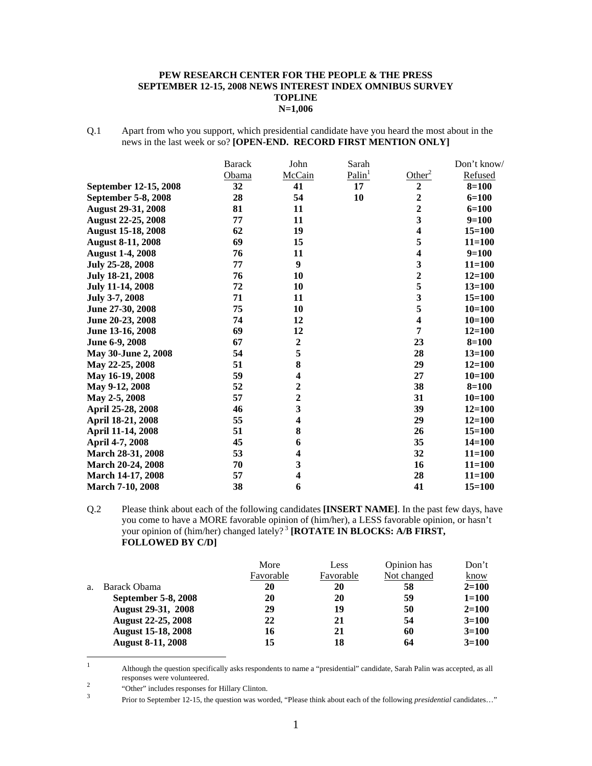#### **PEW RESEARCH CENTER FOR THE PEOPLE & THE PRESS SEPTEMBER 12-15, 2008 NEWS INTEREST INDEX OMNIBUS SURVEY TOPLINE N=1,006**

Q.1 Apart from who you support, which presidential candidate have you heard the most about in the news in the last week or so? **[OPEN-END. RECORD FIRST MENTION ONLY]** 

|                           | <b>Barack</b> | John                    | Sarah              |                         | Don't know/ |
|---------------------------|---------------|-------------------------|--------------------|-------------------------|-------------|
|                           | Obama         | McCain                  | Palin <sup>1</sup> | Other <sup>2</sup>      | Refused     |
| September 12-15, 2008     | 32            | 41                      | 17                 | $\boldsymbol{2}$        | $8=100$     |
| September 5-8, 2008       | 28            | 54                      | 10                 | $\overline{2}$          | $6 = 100$   |
| <b>August 29-31, 2008</b> | 81            | 11                      |                    | $\overline{\mathbf{2}}$ | $6 = 100$   |
| <b>August 22-25, 2008</b> | 77            | 11                      |                    | 3                       | $9=100$     |
| <b>August 15-18, 2008</b> | 62            | 19                      |                    | $\overline{\mathbf{4}}$ | $15 = 100$  |
| <b>August 8-11, 2008</b>  | 69            | 15                      |                    | 5                       | $11 = 100$  |
| <b>August 1-4, 2008</b>   | 76            | 11                      |                    | $\overline{\mathbf{4}}$ | $9=100$     |
| July 25-28, 2008          | 77            | 9                       |                    | 3                       | $11 = 100$  |
| July 18-21, 2008          | 76            | 10                      |                    | $\overline{2}$          | $12 = 100$  |
| <b>July 11-14, 2008</b>   | 72            | 10                      |                    | 5                       | $13 = 100$  |
| July 3-7, 2008            | 71            | 11                      |                    | $\overline{\mathbf{3}}$ | $15 = 100$  |
| June 27-30, 2008          | 75            | 10                      |                    | 5                       | $10=100$    |
| June 20-23, 2008          | 74            | 12                      |                    | $\overline{\mathbf{4}}$ | $10 = 100$  |
| June 13-16, 2008          | 69            | 12                      |                    | 7                       | $12 = 100$  |
| June 6-9, 2008            | 67            | $\boldsymbol{2}$        |                    | 23                      | $8 = 100$   |
| May 30-June 2, 2008       | 54            | 5                       |                    | 28                      | $13 = 100$  |
| May 22-25, 2008           | 51            | 8                       |                    | 29                      | $12 = 100$  |
| May 16-19, 2008           | 59            | 4                       |                    | 27                      | $10=100$    |
| May 9-12, 2008            | 52            | $\overline{\mathbf{c}}$ |                    | 38                      | $8 = 100$   |
| May 2-5, 2008             | 57            | $\overline{2}$          |                    | 31                      | $10=100$    |
| April 25-28, 2008         | 46            | $\overline{\mathbf{3}}$ |                    | 39                      | $12 = 100$  |
| April 18-21, 2008         | 55            | $\overline{\mathbf{4}}$ |                    | 29                      | $12 = 100$  |
| April 11-14, 2008         | 51            | 8                       |                    | 26                      | $15 = 100$  |
| April 4-7, 2008           | 45            | 6                       |                    | 35                      | $14 = 100$  |
| March 28-31, 2008         | 53            | $\overline{\mathbf{4}}$ |                    | 32                      | $11 = 100$  |
| March 20-24, 2008         | 70            | 3                       |                    | 16                      | $11 = 100$  |
| March 14-17, 2008         | 57            | $\overline{\mathbf{4}}$ |                    | 28                      | $11 = 100$  |
| <b>March 7-10, 2008</b>   | 38            | 6                       |                    | 41                      | $15 = 100$  |

Q.2 Please think about each of the following candidates **[INSERT NAME]**. In the past few days, have you come to have a MORE favorable opinion of (him/her), a LESS favorable opinion, or hasn't your opinion of (him/her) changed lately?<sup>3</sup> [ROTATE IN BLOCKS: A/B FIRST, **FOLLOWED BY C/D]**

|    |                           | More      | Less      | Opinion has | Don't       |
|----|---------------------------|-----------|-----------|-------------|-------------|
|    |                           | Favorable | Favorable | Not changed | <u>know</u> |
| a. | Barack Obama              | 20        | 20        | 58          | $2 = 100$   |
|    | September 5-8, 2008       | 20        | 20        | 59          | $1 = 100$   |
|    | <b>August 29-31, 2008</b> | 29        | 19        | 50          | $2 = 100$   |
|    | <b>August 22-25, 2008</b> | 22        | 21        | 54          | $3=100$     |
|    | <b>August 15-18, 2008</b> | 16        | 21        | 60          | $3=100$     |
|    | <b>August 8-11, 2008</b>  | 15        | 18        | 64          | $3=100$     |

 $\frac{1}{1}$  Although the question specifically asks respondents to name a "presidential" candidate, Sarah Palin was accepted, as all responses were volunteered.

<sup>2</sup> "Other" includes responses for Hillary Clinton.

Prior to September 12-15, the question was worded, "Please think about each of the following *presidential* candidates…"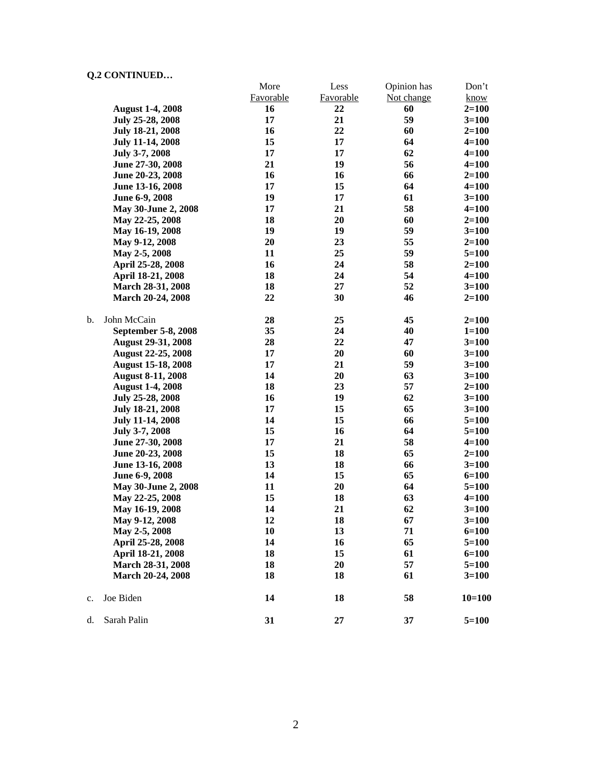|    |                           | More      | Less             | Opinion has | Don't     |
|----|---------------------------|-----------|------------------|-------------|-----------|
|    |                           | Favorable | <b>Favorable</b> | Not change  | know      |
|    | <b>August 1-4, 2008</b>   | 16        | 22               | 60          | $2=100$   |
|    | July 25-28, 2008          | 17        | 21               | 59          | $3 = 100$ |
|    | <b>July 18-21, 2008</b>   | 16        | 22               | 60          | $2=100$   |
|    | <b>July 11-14, 2008</b>   | 15        | 17               | 64          | $4 = 100$ |
|    | <b>July 3-7, 2008</b>     | 17        | 17               | 62          | $4 = 100$ |
|    | June 27-30, 2008          | 21        | 19               | 56          | $4 = 100$ |
|    | June 20-23, 2008          | 16        | 16               | 66          | $2 = 100$ |
|    | June 13-16, 2008          | 17        | 15               | 64          | $4 = 100$ |
|    | June 6-9, 2008            | 19        | 17               | 61          | $3=100$   |
|    | May 30-June 2, 2008       | 17        | 21               | 58          | $4 = 100$ |
|    | May 22-25, 2008           | 18        | 20               | 60          | $2 = 100$ |
|    | May 16-19, 2008           | 19        | 19               | 59          | $3=100$   |
|    | May 9-12, 2008            | 20        | 23               | 55          | $2=100$   |
|    | May 2-5, 2008             | 11        | 25               | 59          | $5=100$   |
|    | April 25-28, 2008         | 16        | 24               | 58          | $2=100$   |
|    | April 18-21, 2008         | 18        | 24               | 54          | $4 = 100$ |
|    | March 28-31, 2008         | 18        | 27               | 52          | $3 = 100$ |
|    | March 20-24, 2008         | 22        | 30               | 46          | $2 = 100$ |
| b. | John McCain               | 28        | 25               | 45          | $2 = 100$ |
|    | September 5-8, 2008       | 35        | 24               | 40          | $1 = 100$ |
|    | <b>August 29-31, 2008</b> | 28        | 22               | 47          | $3 = 100$ |
|    | <b>August 22-25, 2008</b> | 17        | 20               | 60          | $3 = 100$ |
|    | <b>August 15-18, 2008</b> | 17        | 21               | 59          | $3=100$   |
|    | <b>August 8-11, 2008</b>  | 14        | 20               | 63          | $3 = 100$ |
|    | <b>August 1-4, 2008</b>   | 18        | 23               | 57          | $2=100$   |
|    | July 25-28, 2008          | 16        | 19               | 62          | $3=100$   |
|    | July 18-21, 2008          | 17        | 15               | 65          | $3 = 100$ |
|    | <b>July 11-14, 2008</b>   | 14        | 15               | 66          | $5 = 100$ |
|    | July 3-7, 2008            | 15        | 16               | 64          | $5 = 100$ |
|    | June 27-30, 2008          | 17        | 21               | 58          | $4 = 100$ |
|    | June 20-23, 2008          | 15        | 18               | 65          | $2 = 100$ |
|    | June 13-16, 2008          | 13        | 18               | 66          | $3 = 100$ |
|    | June 6-9, 2008            | 14        | 15               | 65          | $6 = 100$ |
|    | May 30-June 2, 2008       | 11        | 20               | 64          | $5 = 100$ |
|    | May 22-25, 2008           | 15        | 18               | 63          | $4 = 100$ |
|    | May 16-19, 2008           | 14        | 21               | 62          | $3=100$   |
|    | May 9-12, 2008            | 12        | 18               | 67          | $3 = 100$ |
|    | May 2-5, 2008             | 10        | 13               | 71          | $6 = 100$ |
|    | April 25-28, 2008         | 14        | 16               | 65          | $5 = 100$ |
|    | April 18-21, 2008         | 18        | 15               | 61          | $6 = 100$ |
|    | March 28-31, 2008         | 18        | 20               | 57          | $5 = 100$ |
|    | March 20-24, 2008         | 18        | 18               | 61          | $3 = 100$ |
| c. | Joe Biden                 | 14        | 18               | 58          | $10=100$  |
| d. | Sarah Palin               | 31        | 27               | 37          | $5 = 100$ |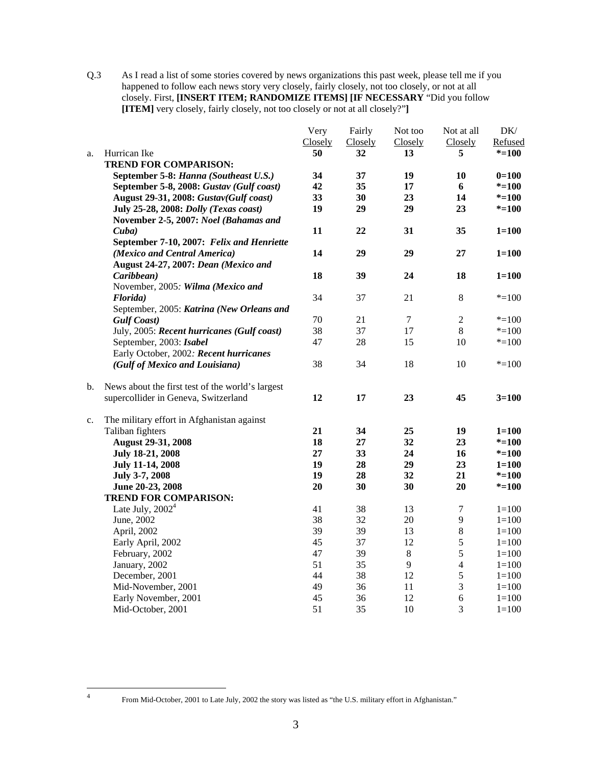Q.3 As I read a list of some stories covered by news organizations this past week, please tell me if you happened to follow each news story very closely, fairly closely, not too closely, or not at all closely. First, **[INSERT ITEM; RANDOMIZE ITEMS] [IF NECESSARY** "Did you follow **[ITEM]** very closely, fairly closely, not too closely or not at all closely?"**]** 

|    |                                                  | Very    | Fairly  | Not too          | Not at all       | DK/       |
|----|--------------------------------------------------|---------|---------|------------------|------------------|-----------|
|    |                                                  | Closely | Closely | Closely          | Closely          | Refused   |
| a. | Hurrican Ike                                     | 50      | 32      | 13               | 5                | $* = 100$ |
|    | <b>TREND FOR COMPARISON:</b>                     |         |         |                  |                  |           |
|    | September 5-8: Hanna (Southeast U.S.)            | 34      | 37      | 19               | 10               | $0=100$   |
|    | September 5-8, 2008: Gustav (Gulf coast)         | 42      | 35      | 17               | 6                | $* = 100$ |
|    | August 29-31, 2008: Gustav(Gulf coast)           | 33      | 30      | 23               | 14               | $* = 100$ |
|    | July 25-28, 2008: Dolly (Texas coast)            | 19      | 29      | 29               | 23               | $* = 100$ |
|    | November 2-5, 2007: Noel (Bahamas and            |         |         |                  |                  |           |
|    | Cuba)                                            | 11      | 22      | 31               | 35               | $1 = 100$ |
|    | September 7-10, 2007: Felix and Henriette        |         |         |                  |                  |           |
|    | (Mexico and Central America)                     | 14      | 29      | 29               | 27               | $1 = 100$ |
|    | August 24-27, 2007: Dean (Mexico and             |         |         |                  |                  |           |
|    | Caribbean)                                       | 18      | 39      | 24               | 18               | $1 = 100$ |
|    | November, 2005: Wilma (Mexico and                |         |         |                  |                  |           |
|    | Florida)                                         | 34      | 37      | 21               | $\,8\,$          | $* = 100$ |
|    | September, 2005: Katrina (New Orleans and        |         |         |                  |                  |           |
|    | <b>Gulf Coast</b> )                              | 70      | 21      | $\boldsymbol{7}$ | $\boldsymbol{2}$ | $* = 100$ |
|    | July, 2005: Recent hurricanes (Gulf coast)       | 38      | 37      | 17               | $\,8\,$          | $* = 100$ |
|    | September, 2003: Isabel                          | 47      | 28      | 15               | 10               | $* = 100$ |
|    | Early October, 2002: Recent hurricanes           |         |         |                  |                  |           |
|    | (Gulf of Mexico and Louisiana)                   | 38      | 34      | 18               | 10               | $* = 100$ |
| b. | News about the first test of the world's largest |         |         |                  |                  |           |
|    | supercollider in Geneva, Switzerland             | 12      | 17      | 23               | 45               | $3 = 100$ |
| c. | The military effort in Afghanistan against       |         |         |                  |                  |           |
|    | Taliban fighters                                 | 21      | 34      | 25               | 19               | $1 = 100$ |
|    | <b>August 29-31, 2008</b>                        | 18      | 27      | 32               | 23               | $* = 100$ |
|    | July 18-21, 2008                                 | 27      | 33      | 24               | 16               | $* = 100$ |
|    | July 11-14, 2008                                 | 19      | 28      | 29               | 23               | $1 = 100$ |
|    | July 3-7, 2008                                   | 19      | 28      | 32               | 21               | $* = 100$ |
|    | June 20-23, 2008                                 | 20      | 30      | 30               | 20               | $* = 100$ |
|    | <b>TREND FOR COMPARISON:</b>                     |         |         |                  |                  |           |
|    | Late July, $20024$                               | 41      | 38      | 13               | $\tau$           | $1 = 100$ |
|    | June, 2002                                       | 38      | 32      | 20               | 9                | $1 = 100$ |
|    | April, 2002                                      | 39      | 39      | 13               | $\,8\,$          | $1 = 100$ |
|    | Early April, 2002                                | 45      | 37      | 12               | 5                | $1 = 100$ |
|    | February, 2002                                   | 47      | 39      | $\,8\,$          | 5                | $1 = 100$ |
|    | January, 2002                                    | 51      | 35      | 9                | $\overline{4}$   | $1 = 100$ |
|    | December, 2001                                   | 44      | 38      | 12               | $\sqrt{5}$       | $1 = 100$ |
|    | Mid-November, 2001                               | 49      | 36      | 11               | 3                | $1 = 100$ |
|    | Early November, 2001                             | 45      | 36      | 12               | $\epsilon$       | $1 = 100$ |
|    | Mid-October, 2001                                | 51      | 35      | 10               | 3                | $1 = 100$ |

 $\frac{1}{4}$ 

From Mid-October, 2001 to Late July, 2002 the story was listed as "the U.S. military effort in Afghanistan."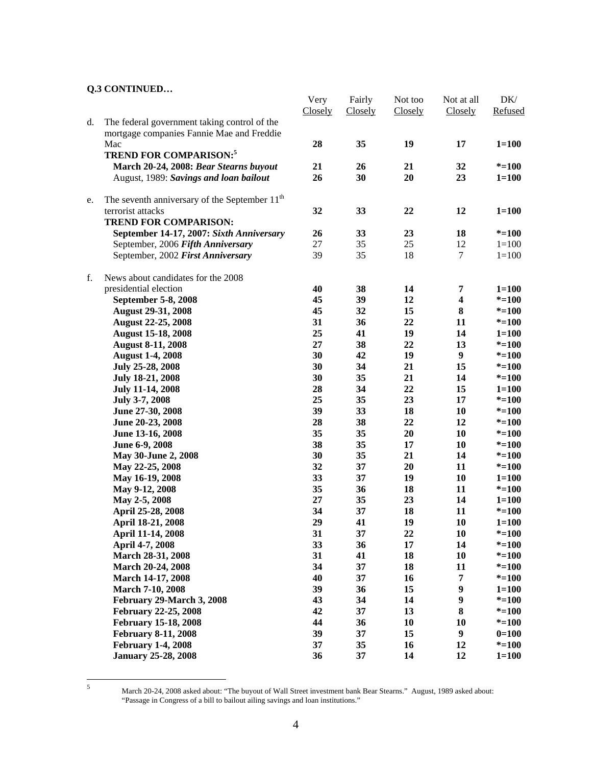|    |                                                           | Very<br>Closely | Fairly<br>Closely | Not too<br>Closely | Not at all<br>Closely   | DK/<br>Refused |
|----|-----------------------------------------------------------|-----------------|-------------------|--------------------|-------------------------|----------------|
| d. | The federal government taking control of the              |                 |                   |                    |                         |                |
|    | mortgage companies Fannie Mae and Freddie                 |                 |                   |                    |                         |                |
|    | Mac                                                       | 28              | 35                | 19                 | 17                      | $1 = 100$      |
|    | <b>TREND FOR COMPARISON:</b> <sup>5</sup>                 |                 |                   |                    |                         |                |
|    | March 20-24, 2008: Bear Stearns buyout                    | 21              | 26                | 21                 | 32                      | $* = 100$      |
|    | August, 1989: Savings and loan bailout                    | 26              | 30                | 20                 | 23                      | $1 = 100$      |
|    |                                                           |                 |                   |                    |                         |                |
| e. | The seventh anniversary of the September 11 <sup>th</sup> |                 |                   |                    |                         |                |
|    | terrorist attacks                                         | 32              | 33                | 22                 | 12                      | $1 = 100$      |
|    | <b>TREND FOR COMPARISON:</b>                              |                 |                   |                    |                         |                |
|    | September 14-17, 2007: Sixth Anniversary                  | 26              | 33                | 23                 | 18                      | $* = 100$      |
|    | September, 2006 Fifth Anniversary                         | 27              | 35                | 25                 | 12                      | $1 = 100$      |
|    | September, 2002 First Anniversary                         | 39              | 35                | 18                 | $\tau$                  | $1 = 100$      |
| f. | News about candidates for the 2008                        |                 |                   |                    |                         |                |
|    | presidential election                                     | 40              | 38                | 14                 | 7                       | $1 = 100$      |
|    | September 5-8, 2008                                       | 45              | 39                | 12                 | $\overline{\mathbf{4}}$ | $* = 100$      |
|    | <b>August 29-31, 2008</b>                                 | 45              | 32                | 15                 | 8                       | $* = 100$      |
|    | <b>August 22-25, 2008</b>                                 | 31              | 36                | 22                 | 11                      | $* = 100$      |
|    | <b>August 15-18, 2008</b>                                 | 25              | 41                | 19                 | 14                      | $1 = 100$      |
|    | <b>August 8-11, 2008</b>                                  | 27              | 38                | 22                 | 13                      | $* = 100$      |
|    | <b>August 1-4, 2008</b>                                   | 30              | 42                | 19                 | $\boldsymbol{9}$        | $* = 100$      |
|    | July 25-28, 2008                                          | 30              | 34                | 21                 | 15                      | $* = 100$      |
|    | <b>July 18-21, 2008</b>                                   | 30              | 35                | 21                 | 14                      | $* = 100$      |
|    | <b>July 11-14, 2008</b>                                   | 28              | 34                | 22                 | 15                      | $1 = 100$      |
|    | July 3-7, 2008                                            | 25              | 35                | 23                 | 17                      | $* = 100$      |
|    | June 27-30, 2008                                          | 39              | 33                | 18                 | 10                      | $* = 100$      |
|    | June 20-23, 2008                                          | 28              | 38                | 22                 | 12                      | $* = 100$      |
|    | June 13-16, 2008                                          | 35              | 35                | 20                 | 10                      | $* = 100$      |
|    | June 6-9, 2008                                            | 38              | 35                | 17                 | 10                      | $* = 100$      |
|    | May 30-June 2, 2008                                       | 30              | 35                | 21                 | 14                      | $* = 100$      |
|    |                                                           | 32              | 37                | 20                 | 11                      | $* = 100$      |
|    | May 22-25, 2008                                           | 33              | 37                | 19                 |                         |                |
|    | May 16-19, 2008                                           | 35              |                   |                    | 10<br>11                | $1 = 100$      |
|    | May 9-12, 2008                                            |                 | 36                | 18                 |                         | $* = 100$      |
|    | May 2-5, 2008                                             | 27              | 35                | 23                 | 14                      | $1 = 100$      |
|    | April 25-28, 2008                                         | 34              | 37                | 18                 | 11                      | $* = 100$      |
|    | April 18-21, 2008                                         | 29              | 41                | 19                 | 10                      | $1 = 100$      |
|    | April 11-14, 2008                                         | 31              | 37                | 22                 | 10                      | $* = 100$      |
|    | April 4-7, 2008                                           | 33              | 36                | 17                 | 14                      | $* = 100$      |
|    | March 28-31, 2008                                         | 31              | 41                | 18                 | 10                      | $* = 100$      |
|    | March 20-24, 2008                                         | 34              | 37                | 18                 | 11                      | $* = 100$      |
|    | March 14-17, 2008                                         | 40              | 37                | 16                 | $\overline{7}$          | $* = 100$      |
|    | March 7-10, 2008                                          | 39              | 36                | 15                 | $\boldsymbol{9}$        | $1 = 100$      |
|    | February 29-March 3, 2008                                 | 43              | 34                | 14                 | $\boldsymbol{9}$        | $* = 100$      |
|    | February 22-25, 2008                                      | 42              | 37                | 13                 | 8                       | $* = 100$      |
|    | <b>February 15-18, 2008</b>                               | 44              | 36                | 10                 | 10                      | $* = 100$      |
|    | <b>February 8-11, 2008</b>                                | 39              | 37                | 15                 | $\boldsymbol{9}$        | $0=100$        |
|    | <b>February 1-4, 2008</b>                                 | 37              | 35                | 16                 | 12                      | $* = 100$      |
|    | <b>January 25-28, 2008</b>                                | 36              | 37                | 14                 | 12                      | $1 = 100$      |

5

March 20-24, 2008 asked about: "The buyout of Wall Street investment bank Bear Stearns." August, 1989 asked about: "Passage in Congress of a bill to bailout ailing savings and loan institutions."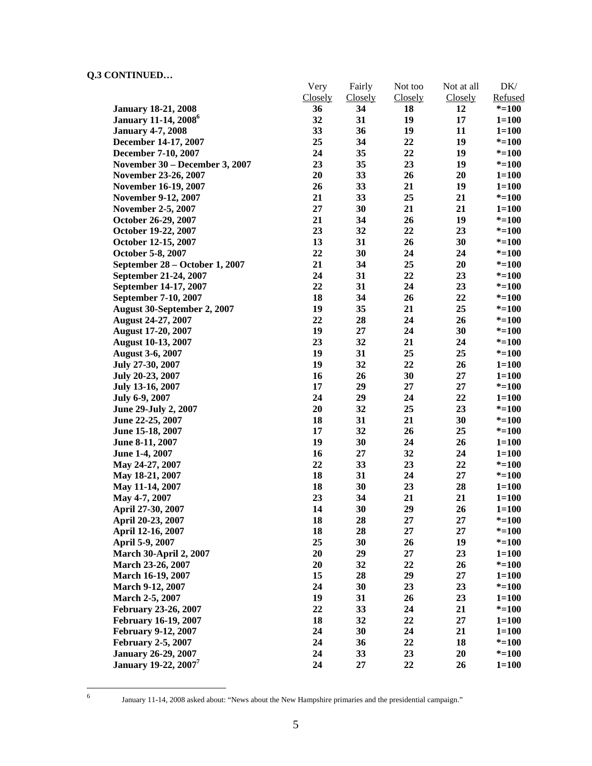|                                         | Very    | Fairly         | Not too | Not at all     | DK/                    |
|-----------------------------------------|---------|----------------|---------|----------------|------------------------|
|                                         | Closely | <b>Closely</b> | Closely | <b>Closely</b> | Refused                |
| <b>January 18-21, 2008</b>              | 36      | 34             | 18      | 12             | $* = 100$              |
| <b>January 11-14, 2008</b> <sup>6</sup> | 32      | 31             | 19      | 17             | $1 = 100$              |
| <b>January 4-7, 2008</b>                | 33      | 36             | 19      | 11             | $1 = 100$              |
| December 14-17, 2007                    | 25      | 34             | 22      | 19             | $* = 100$              |
| December 7-10, 2007                     | 24      | 35             | 22      | 19             | $* = 100$              |
| November 30 - December 3, 2007          | 23      | 35             | 23      | 19             | $* = 100$              |
| November 23-26, 2007                    | 20      | 33             | 26      | 20             | $1 = 100$              |
| November 16-19, 2007                    | 26      | 33             | 21      | 19             | $1 = 100$              |
| <b>November 9-12, 2007</b>              | 21      | 33             | 25      | 21             | $* = 100$              |
| <b>November 2-5, 2007</b>               | 27      | 30             | 21      | 21             | $1 = 100$              |
| October 26-29, 2007                     | 21      | 34             | 26      | 19             | $* = 100$              |
| October 19-22, 2007                     | 23      | 32             | 22      | 23             | $* = 100$              |
| October 12-15, 2007                     | 13      | 31             | 26      | 30             | $* = 100$              |
| October 5-8, 2007                       | 22      | 30             | 24      | 24             | $* = 100$              |
| September 28 – October 1, 2007          | 21      | 34             | 25      | 20             | $* = 100$              |
| September 21-24, 2007                   | 24      | 31             | 22      | 23             | $* = 100$              |
| September 14-17, 2007                   | 22      | 31             | 24      | 23             | $* = 100$              |
| September 7-10, 2007                    | 18      | 34             | 26      | 22             | $* = 100$              |
| August 30-September 2, 2007             | 19      | 35             | 21      | 25             | $* = 100$              |
| <b>August 24-27, 2007</b>               | 22      | 28             | 24      | 26             | $* = 100$              |
| <b>August 17-20, 2007</b>               | 19      | 27             | 24      | 30             | $* = 100$              |
| <b>August 10-13, 2007</b>               | 23      | 32             | 21      | 24             | $* = 100$              |
| <b>August 3-6, 2007</b>                 | 19      | 31             | 25      | 25             | $* = 100$              |
| July 27-30, 2007                        | 19      | 32             | 22      | 26             | $1 = 100$              |
| July 20-23, 2007                        | 16      | 26             | 30      | 27             | $1 = 100$              |
| July 13-16, 2007                        | 17      | 29             | 27      | 27             | $* = 100$              |
| July 6-9, 2007                          | 24      | 29             | 24      | 22             | $1 = 100$              |
| June 29-July 2, 2007                    | 20      | 32             | 25      | 23             | $* = 100$              |
| June 22-25, 2007                        | 18      | 31             | 21      | 30             | $* = 100$              |
| June 15-18, 2007                        | 17      | 32             | 26      | 25             | $* = 100$              |
| June 8-11, 2007                         | 19      | 30             | 24      | 26             | $1 = 100$              |
| June 1-4, 2007                          | 16      | 27             | 32      | 24             | $1 = 100$              |
| May 24-27, 2007                         | 22      | 33             | 23      | 22             | $* = 100$              |
| May 18-21, 2007                         | 18      | 31             | 24      | 27             | $* = 100$              |
| May 11-14, 2007                         | 18      | 30             | 23      | 28             | $1 = 100$              |
| May 4-7, 2007                           | 23      | 34             | 21      | 21             | $1 = 100$              |
| April 27-30, 2007                       | 14      | 30             | 29      | 26             | $1 = 100$              |
| April 20-23, 2007                       | 18      | 28             | 27      | 27             | $* = 100$              |
| April 12-16, 2007                       | 18      | 28             | 27      | 27             | $* = 100$              |
| April 5-9, 2007                         | 25      | 30             | 26      | 19             | $* = 100$              |
| <b>March 30-April 2, 2007</b>           | 20      | 29             | 27      | 23             | $1 = 100$              |
| March 23-26, 2007                       | 20      | 32             | 22      | 26             | $* = 100$              |
| March 16-19, 2007                       | 15      | 28             | 29      | 27             | $1 = 100$              |
| March 9-12, 2007                        | 24      | 30             | 23      | 23             | $* = 100$              |
| March 2-5, 2007                         | 19      | 31             | 26      | 23             |                        |
| February 23-26, 2007                    | 22      | 33             | 24      | 21             | $1 = 100$<br>$* = 100$ |
| <b>February 16-19, 2007</b>             | 18      | 32             | 22      | 27             | $1 = 100$              |
| <b>February 9-12, 2007</b>              | 24      | 30             | 24      | 21             |                        |
|                                         | 24      | 36             | 22      | 18             | $1 = 100$              |
| <b>February 2-5, 2007</b>               | 24      | 33             | 23      | 20             | $* = 100$              |
| <b>January 26-29, 2007</b>              |         |                |         |                | $* = 100$              |
| <b>January 19-22, 2007</b>              | 24      | 27             | 22      | 26             | $1 = 100$              |

 $\frac{1}{6}$ 

January 11-14, 2008 asked about: "News about the New Hampshire primaries and the presidential campaign."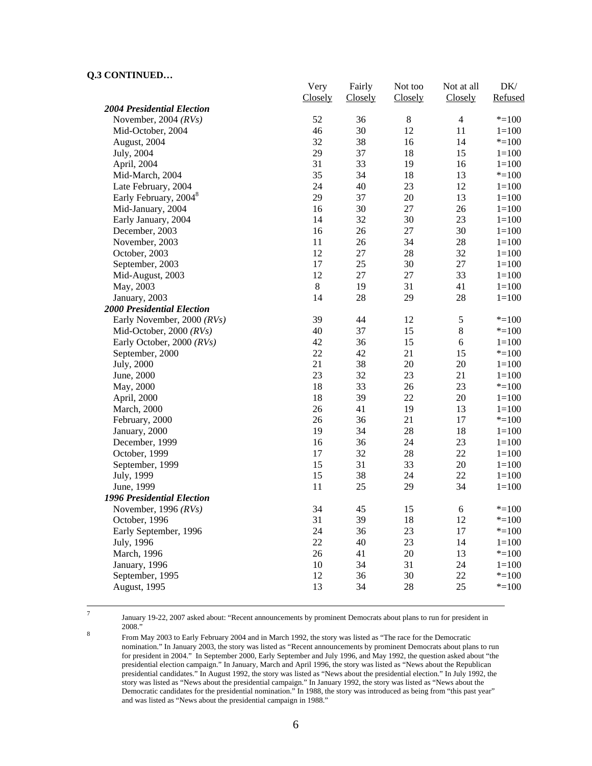|                                   | Very    | Fairly  | Not too | Not at all     | DK/       |
|-----------------------------------|---------|---------|---------|----------------|-----------|
| <b>2004 Presidential Election</b> | Closely | Closely | Closely | Closely        | Refused   |
| November, 2004 $(RVs)$            | 52      | 36      | $8\,$   | $\overline{4}$ | $* = 100$ |
| Mid-October, 2004                 | 46      | 30      | 12      | 11             | $1 = 100$ |
| August, 2004                      | 32      | 38      | 16      | 14             | $* = 100$ |
| July, 2004                        | 29      | 37      | 18      | 15             | $1 = 100$ |
| April, 2004                       | 31      | 33      | 19      | 16             | $1 = 100$ |
| Mid-March, 2004                   | 35      | 34      | 18      | 13             | $* = 100$ |
| Late February, 2004               | 24      | 40      | 23      | 12             | $1 = 100$ |
| Early February, 2004 <sup>8</sup> | 29      | 37      | $20\,$  | 13             | $1 = 100$ |
| Mid-January, 2004                 | 16      | 30      | 27      | 26             | $1 = 100$ |
| Early January, 2004               | 14      | 32      | 30      | 23             | $1 = 100$ |
| December, 2003                    | 16      | 26      | 27      | 30             | $1 = 100$ |
| November, 2003                    | 11      | 26      | 34      | 28             | $1 = 100$ |
| October, 2003                     | 12      | $27\,$  | 28      | 32             | $1 = 100$ |
| September, 2003                   | 17      | 25      | 30      | $27\,$         | $1 = 100$ |
| Mid-August, 2003                  | 12      | $27\,$  | 27      | 33             | $1 = 100$ |
| May, 2003                         | $\,8\,$ | 19      | 31      | 41             | $1 = 100$ |
| January, 2003                     | 14      | 28      | 29      | 28             | $1 = 100$ |
| <b>2000 Presidential Election</b> |         |         |         |                |           |
| Early November, 2000 (RVs)        | 39      | 44      | 12      | $\sqrt{5}$     | $* = 100$ |
| Mid-October, 2000 (RVs)           | 40      | 37      | 15      | $8\,$          | $* = 100$ |
| Early October, 2000 (RVs)         | 42      | 36      | 15      | $\sqrt{6}$     | $1 = 100$ |
| September, 2000                   | 22      | 42      | 21      | 15             | $* = 100$ |
| July, 2000                        | 21      | 38      | $20\,$  | 20             | $1 = 100$ |
| June, 2000                        | 23      | 32      | 23      | 21             | $1 = 100$ |
| May, 2000                         | 18      | 33      | 26      | 23             | $* = 100$ |
| April, 2000                       | 18      | 39      | 22      | 20             | $1 = 100$ |
| March, 2000                       | 26      | 41      | 19      | 13             | $1 = 100$ |
| February, 2000                    | 26      | 36      | 21      | 17             | $* = 100$ |
| January, 2000                     | 19      | 34      | 28      | 18             | $1 = 100$ |
| December, 1999                    | 16      | 36      | 24      | 23             | $1 = 100$ |
| October, 1999                     | 17      | 32      | 28      | 22             | $1 = 100$ |
| September, 1999                   | 15      | 31      | 33      | 20             | $1 = 100$ |
| July, 1999                        | 15      | 38      | 24      | 22             | $1 = 100$ |
| June, 1999                        | 11      | 25      | 29      | 34             | $1 = 100$ |
| 1996 Presidential Election        |         |         |         |                |           |
| November, 1996 $(RVs)$            | 34      | 45      | 15      | 6              | $* = 100$ |
| October, 1996                     | 31      | 39      | 18      | 12             | $* = 100$ |
| Early September, 1996             | 24      | 36      | 23      | 17             | $* = 100$ |
| July, 1996                        | 22      | 40      | 23      | 14             | $1 = 100$ |
| March, 1996                       | 26      | 41      | $20\,$  | 13             | $* = 100$ |
| January, 1996                     | 10      | 34      | 31      | 24             | $1 = 100$ |
| September, 1995                   | 12      | 36      | 30      | 22             | $* = 100$ |
| August, 1995                      | 13      | 34      | 28      | 25             | $* = 100$ |
|                                   |         |         |         |                |           |

-<br>7

 January 19-22, 2007 asked about: "Recent announcements by prominent Democrats about plans to run for president in  $\frac{2008."}{50008}$ 

 From May 2003 to Early February 2004 and in March 1992, the story was listed as "The race for the Democratic nomination." In January 2003, the story was listed as "Recent announcements by prominent Democrats about plans to run for president in 2004." In September 2000, Early September and July 1996, and May 1992, the question asked about "the presidential election campaign." In January, March and April 1996, the story was listed as "News about the Republican presidential candidates." In August 1992, the story was listed as "News about the presidential election." In July 1992, the story was listed as "News about the presidential campaign." In January 1992, the story was listed as "News about the Democratic candidates for the presidential nomination." In 1988, the story was introduced as being from "this past year" and was listed as "News about the presidential campaign in 1988."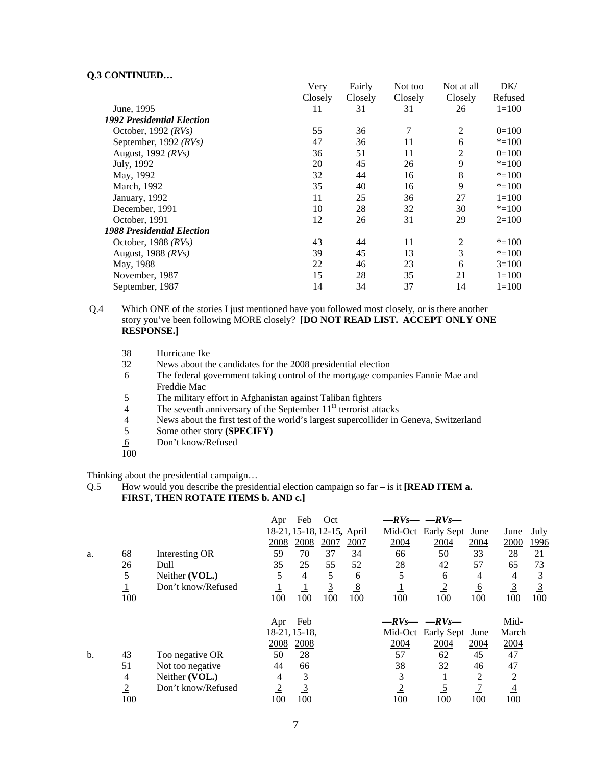|                                   | Very    | Fairly  | Not too | Not at all     | DK/       |
|-----------------------------------|---------|---------|---------|----------------|-----------|
|                                   | Closely | Closely | Closely | Closely        | Refused   |
| June, 1995                        | 11      | 31      | 31      | 26             | $1 = 100$ |
| <b>1992 Presidential Election</b> |         |         |         |                |           |
| October, 1992 $(RVs)$             | 55      | 36      | 7       | 2              | $0=100$   |
| September, 1992 $(RVs)$           | 47      | 36      | 11      | 6              | $* = 100$ |
| August, 1992 $(RVs)$              | 36      | 51      | 11      | 2              | $0=100$   |
| July, 1992                        | 20      | 45      | 26      | 9              | $* = 100$ |
| May, 1992                         | 32      | 44      | 16      | 8              | $* = 100$ |
| March, 1992                       | 35      | 40      | 16      | 9              | $* = 100$ |
| January, 1992                     | 11      | 25      | 36      | 27             | $1 = 100$ |
| December, 1991                    | 10      | 28      | 32      | 30             | $* = 100$ |
| October, 1991                     | 12      | 26      | 31      | 29             | $2=100$   |
| <b>1988 Presidential Election</b> |         |         |         |                |           |
| October, 1988 $(RVs)$             | 43      | 44      | 11      | $\overline{2}$ | $* = 100$ |
| August, 1988 (RVs)                | 39      | 45      | 13      | 3              | $* = 100$ |
| May, 1988                         | 22      | 46      | 23      | 6              | $3=100$   |
| November, 1987                    | 15      | 28      | 35      | 21             | $1 = 100$ |
| September, 1987                   | 14      | 34      | 37      | 14             | $1 = 100$ |

Q.4 Which ONE of the stories I just mentioned have you followed most closely, or is there another story you've been following MORE closely? [**DO NOT READ LIST. ACCEPT ONLY ONE RESPONSE.]** 

| 38             | Hurricane Ike                                                                         |
|----------------|---------------------------------------------------------------------------------------|
| 32             | News about the candidates for the 2008 presidential election                          |
| 6              | The federal government taking control of the mortgage companies Fannie Mae and        |
|                | Freddie Mac                                                                           |
| 5              | The military effort in Afghanistan against Taliban fighters                           |
| $\overline{4}$ | The seventh anniversary of the September $11th$ terrorist attacks                     |
| 4              | News about the first test of the world's largest supercollider in Geneva, Switzerland |
| 5              | Some other story (SPECIFY)                                                            |
| 6              | Don't know/Refused                                                                    |
| 100            |                                                                                       |

Thinking about the presidential campaign…

Q.5 How would you describe the presidential election campaign so far – is it **[READ ITEM a. FIRST, THEN ROTATE ITEMS b. AND c.]**

|    |                         |                    | Apr            | Feb            | Oct                        |               |                | $-RV_S$ - $-RV_S$ - |                 |                |                |
|----|-------------------------|--------------------|----------------|----------------|----------------------------|---------------|----------------|---------------------|-----------------|----------------|----------------|
|    |                         |                    |                |                | 18-21, 15-18, 12-15, April |               |                | Mid-Oct Early Sept  | June            | June           | July           |
|    |                         |                    | 2008           | 2008           | 2007                       | 2007          | 2004           | 2004                | 2004            | 2000           | 1996           |
| a. | 68                      | Interesting OR     | 59             | 70             | 37                         | 34            | 66             | 50                  | 33              | 28             | 21             |
|    | 26                      | Dull               | 35             | 25             | 55                         | 52            | 28             | 42                  | 57              | 65             | 73             |
|    | 5                       | Neither (VOL.)     | 5              | 4              | 5                          | 6             | 5              | 6                   | 4               | 4              | 3              |
|    | $\overline{\mathbf{1}}$ | Don't know/Refused |                |                | <u>3</u>                   | $\frac{8}{2}$ |                | $\overline{2}$      | $6\overline{6}$ | $\overline{3}$ | $\overline{3}$ |
|    | 100                     |                    | 100            | 100            | 100                        | 100           | 100            | 100                 | 100             | 100            | 100            |
|    |                         |                    | Apr            | Feb            |                            |               |                | $-RV_S$ - $-RV_S$ - |                 | Mid-           |                |
|    |                         |                    |                | 18-21, 15-18,  |                            |               |                | Mid-Oct Early Sept  | June            | March          |                |
|    |                         |                    |                |                |                            |               |                |                     |                 |                |                |
|    |                         |                    | 2008           | 2008           |                            |               | 2004           | 2004                | 2004            | 2004           |                |
| b. | 43                      | Too negative OR    | 50             | 28             |                            |               | 57             | 62                  | 45              | 47             |                |
|    | 51                      | Not too negative   | 44             | 66             |                            |               | 38             | 32                  | 46              | 47             |                |
|    | 4                       | Neither (VOL.)     | 4              | 3              |                            |               | 3              |                     | 2               | 2              |                |
|    | $\overline{2}$          | Don't know/Refused | $\overline{2}$ | $\overline{3}$ |                            |               | $\overline{2}$ | $\overline{5}$      |                 | $\overline{4}$ |                |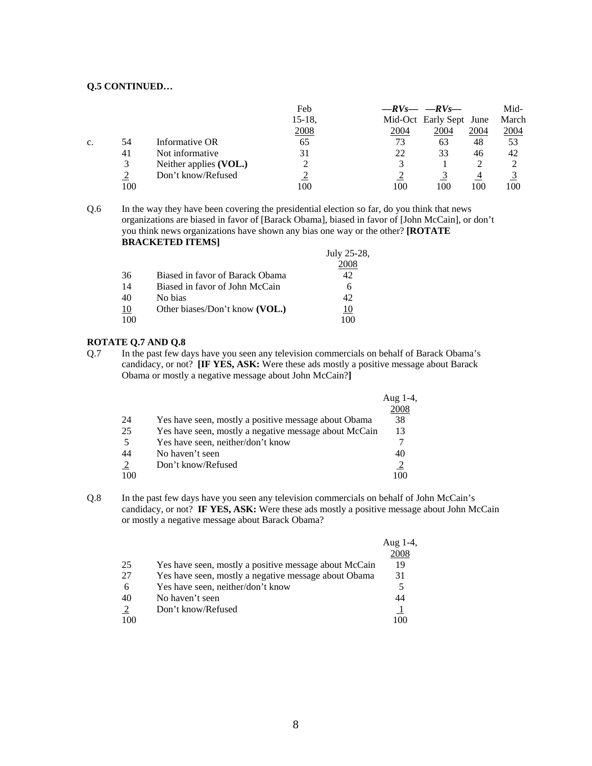|    |     |                        | Feb       |      | $-RV_S$ - $-RV_S$       |      | Mid-  |
|----|-----|------------------------|-----------|------|-------------------------|------|-------|
|    |     |                        | $15-18$ , |      | Mid-Oct Early Sept June |      | March |
|    |     |                        | 2008      | 2004 | <u>2004</u>             | 2004 | 2004  |
| C. | 54  | Informative OR         | 65        | 73   | 63                      | 48   | 53    |
|    | 41  | Not informative        | 31        | 22   | 33                      | 46   | 42    |
|    | 3   | Neither applies (VOL.) |           |      |                         |      |       |
|    |     | Don't know/Refused     |           |      |                         |      |       |
|    | 100 |                        | 100       | 100  | 100                     | 100  | 100   |

Q.6 In the way they have been covering the presidential election so far, do you think that news organizations are biased in favor of [Barack Obama], biased in favor of [John McCain], or don't you think news organizations have shown any bias one way or the other? **[ROTATE BRACKETED ITEMS]**

|    |                                 | July 25-28, |
|----|---------------------------------|-------------|
|    |                                 | 2008        |
| 36 | Biased in favor of Barack Obama | 42.         |
| 14 | Biased in favor of John McCain  | 6           |
| 40 | No bias                         | 42          |
| 10 | Other biases/Don't know (VOL.)  |             |
|    |                                 |             |

#### **ROTATE Q.7 AND Q.8**

Q.7 In the past few days have you seen any television commercials on behalf of Barack Obama's candidacy, or not? **[IF YES, ASK:** Were these ads mostly a positive message about Barack Obama or mostly a negative message about John McCain?**]**

|    |                                                       | Aug $1-4$ , |
|----|-------------------------------------------------------|-------------|
|    |                                                       | 2008        |
| 24 | Yes have seen, mostly a positive message about Obama  | 38          |
| 25 | Yes have seen, mostly a negative message about McCain | 13          |
| 5  | Yes have seen, neither/don't know                     |             |
| 44 | No haven't seen                                       | 40          |
| 2  | Don't know/Refused                                    |             |
|    |                                                       |             |

Q.8 In the past few days have you seen any television commercials on behalf of John McCain's candidacy, or not? **IF YES, ASK:** Were these ads mostly a positive message about John McCain or mostly a negative message about Barack Obama?

|     |                                                       | Aug $1-4$ , |
|-----|-------------------------------------------------------|-------------|
|     |                                                       | 2008        |
| 25  | Yes have seen, mostly a positive message about McCain | 19          |
| 27  | Yes have seen, mostly a negative message about Obama  | 31          |
| 6   | Yes have seen, neither/don't know                     |             |
| 40  | No haven't seen                                       | 44          |
| 2   | Don't know/Refused                                    |             |
| 100 |                                                       | 1 O C       |